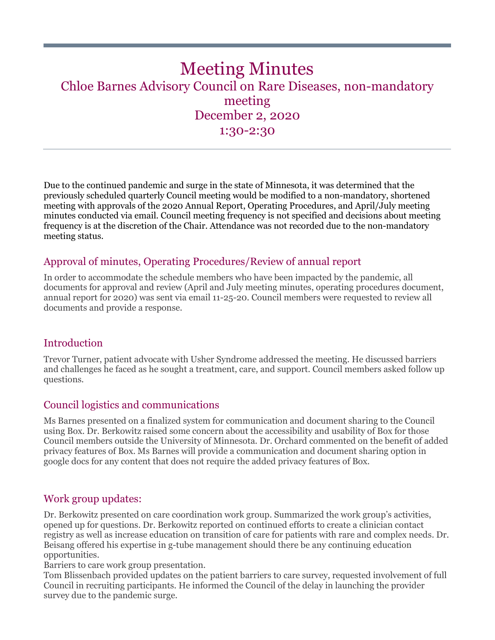# Meeting Minutes Chloe Barnes Advisory Council on Rare Diseases, non-mandatory meeting December 2, 2020 1:30-2:30

Due to the continued pandemic and surge in the state of Minnesota, it was determined that the previously scheduled quarterly Council meeting would be modified to a non-mandatory, shortened meeting with approvals of the 2020 Annual Report, Operating Procedures, and April/July meeting minutes conducted via email. Council meeting frequency is not specified and decisions about meeting frequency is at the discretion of the Chair. Attendance was not recorded due to the non-mandatory meeting status.

## Approval of minutes, Operating Procedures/Review of annual report

In order to accommodate the schedule members who have been impacted by the pandemic, all documents for approval and review (April and July meeting minutes, operating procedures document, annual report for 2020) was sent via email 11-25-20. Council members were requested to review all documents and provide a response.

#### Introduction

Trevor Turner, patient advocate with Usher Syndrome addressed the meeting. He discussed barriers and challenges he faced as he sought a treatment, care, and support. Council members asked follow up questions.

#### Council logistics and communications

Ms Barnes presented on a finalized system for communication and document sharing to the Council using Box. Dr. Berkowitz raised some concern about the accessibility and usability of Box for those Council members outside the University of Minnesota. Dr. Orchard commented on the benefit of added privacy features of Box. Ms Barnes will provide a communication and document sharing option in google docs for any content that does not require the added privacy features of Box.

#### Work group updates:

Dr. Berkowitz presented on care coordination work group. Summarized the work group's activities, opened up for questions. Dr. Berkowitz reported on continued efforts to create a clinician contact registry as well as increase education on transition of care for patients with rare and complex needs. Dr. Beisang offered his expertise in g-tube management should there be any continuing education opportunities.

Barriers to care work group presentation.

Tom Blissenbach provided updates on the patient barriers to care survey, requested involvement of full Council in recruiting participants. He informed the Council of the delay in launching the provider survey due to the pandemic surge.